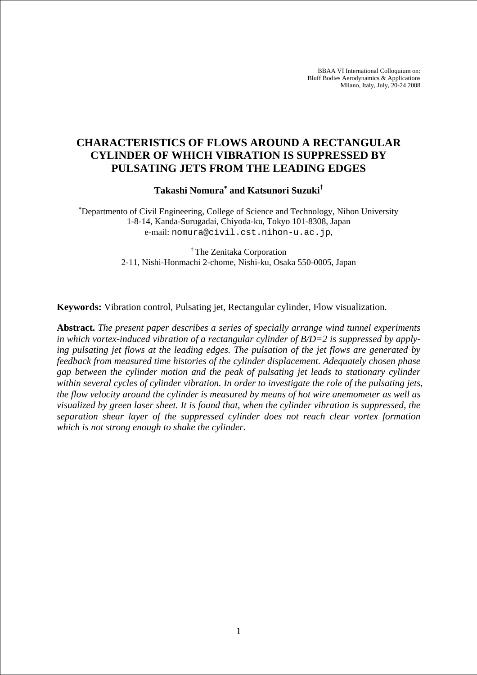BBAA VI International Colloquium on: Bluff Bodies Aerodynamics & Applications Milano, Italy, July, 20-24 2008

# **CHARACTERISTICS OF FLOWS AROUND A RECTANGULAR CYLINDER OF WHICH VIBRATION IS SUPPRESSED BY PULSATING JETS FROM THE LEADING EDGES**

**Takashi Nomura**<sup>∗</sup>  **and Katsunori Suzuki†**

∗ Departmento of Civil Engineering, College of Science and Technology, Nihon University 1-8-14, Kanda-Surugadai, Chiyoda-ku, Tokyo 101-8308, Japan e-mail: nomura@civil.cst.nihon-u.ac.jp,

> † The Zenitaka Corporation 2-11, Nishi-Honmachi 2-chome, Nishi-ku, Osaka 550-0005, Japan

**Keywords:** Vibration control, Pulsating jet, Rectangular cylinder, Flow visualization.

**Abstract.** *The present paper describes a series of specially arrange wind tunnel experiments in which vortex-induced vibration of a rectangular cylinder of B/D=2 is suppressed by applying pulsating jet flows at the leading edges. The pulsation of the jet flows are generated by feedback from measured time histories of the cylinder displacement. Adequately chosen phase gap between the cylinder motion and the peak of pulsating jet leads to stationary cylinder within several cycles of cylinder vibration. In order to investigate the role of the pulsating jets, the flow velocity around the cylinder is measured by means of hot wire anemometer as well as visualized by green laser sheet. It is found that, when the cylinder vibration is suppressed, the separation shear layer of the suppressed cylinder does not reach clear vortex formation which is not strong enough to shake the cylinder.*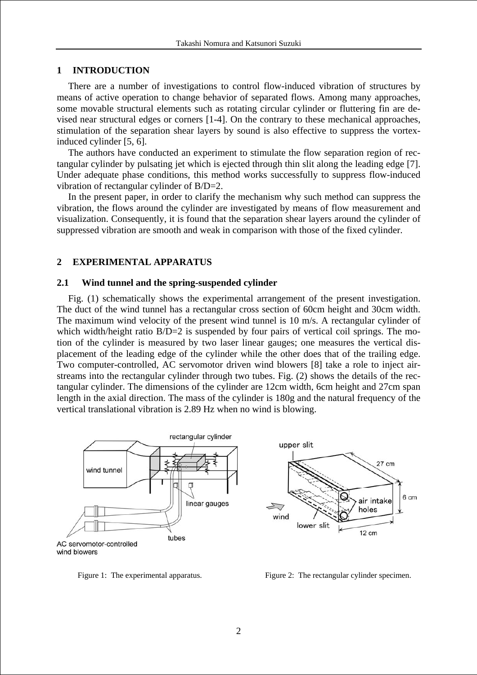#### **1 INTRODUCTION**

There are a number of investigations to control flow-induced vibration of structures by means of active operation to change behavior of separated flows. Among many approaches, some movable structural elements such as rotating circular cylinder or fluttering fin are devised near structural edges or corners [1-4]. On the contrary to these mechanical approaches, stimulation of the separation shear layers by sound is also effective to suppress the vortexinduced cylinder [5, 6].

The authors have conducted an experiment to stimulate the flow separation region of rectangular cylinder by pulsating jet which is ejected through thin slit along the leading edge [7]. Under adequate phase conditions, this method works successfully to suppress flow-induced vibration of rectangular cylinder of B/D=2.

In the present paper, in order to clarify the mechanism why such method can suppress the vibration, the flows around the cylinder are investigated by means of flow measurement and visualization. Consequently, it is found that the separation shear layers around the cylinder of suppressed vibration are smooth and weak in comparison with those of the fixed cylinder.

### **2 EXPERIMENTAL APPARATUS**

#### **2.1 Wind tunnel and the spring-suspended cylinder**

Fig. (1) schematically shows the experimental arrangement of the present investigation. The duct of the wind tunnel has a rectangular cross section of 60cm height and 30cm width. The maximum wind velocity of the present wind tunnel is 10 m/s. A rectangular cylinder of which width/height ratio  $B/D=2$  is suspended by four pairs of vertical coil springs. The motion of the cylinder is measured by two laser linear gauges; one measures the vertical displacement of the leading edge of the cylinder while the other does that of the trailing edge. Two computer-controlled, AC servomotor driven wind blowers [8] take a role to inject airstreams into the rectangular cylinder through two tubes. Fig. (2) shows the details of the rectangular cylinder. The dimensions of the cylinder are 12cm width, 6cm height and 27cm span length in the axial direction. The mass of the cylinder is 180g and the natural frequency of the vertical translational vibration is 2.89 Hz when no wind is blowing.



Figure 1: The experimental apparatus. Figure 2: The rectangular cylinder specimen.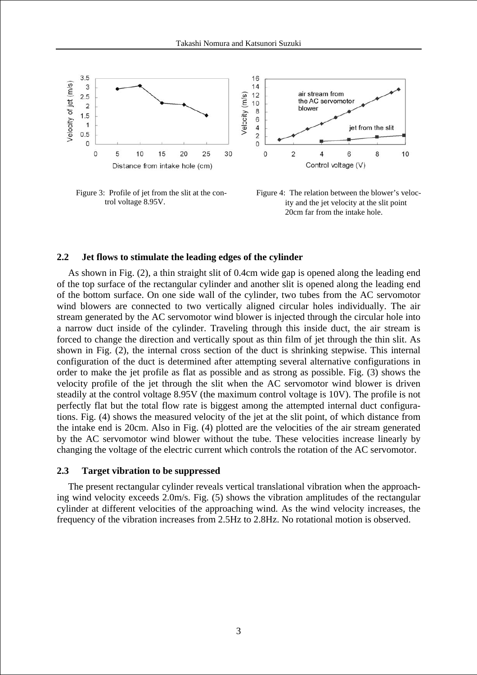

Figure 3: Profile of jet from the slit at the control voltage 8.95V.



#### **2.2 Jet flows to stimulate the leading edges of the cylinder**

As shown in Fig. (2), a thin straight slit of 0.4cm wide gap is opened along the leading end of the top surface of the rectangular cylinder and another slit is opened along the leading end of the bottom surface. On one side wall of the cylinder, two tubes from the AC servomotor wind blowers are connected to two vertically aligned circular holes individually. The air stream generated by the AC servomotor wind blower is injected through the circular hole into a narrow duct inside of the cylinder. Traveling through this inside duct, the air stream is forced to change the direction and vertically spout as thin film of jet through the thin slit. As shown in Fig. (2), the internal cross section of the duct is shrinking stepwise. This internal configuration of the duct is determined after attempting several alternative configurations in order to make the jet profile as flat as possible and as strong as possible. Fig. (3) shows the velocity profile of the jet through the slit when the AC servomotor wind blower is driven steadily at the control voltage 8.95V (the maximum control voltage is 10V). The profile is not perfectly flat but the total flow rate is biggest among the attempted internal duct configurations. Fig. (4) shows the measured velocity of the jet at the slit point, of which distance from the intake end is 20cm. Also in Fig. (4) plotted are the velocities of the air stream generated by the AC servomotor wind blower without the tube. These velocities increase linearly by changing the voltage of the electric current which controls the rotation of the AC servomotor.

#### **2.3 Target vibration to be suppressed**

The present rectangular cylinder reveals vertical translational vibration when the approaching wind velocity exceeds 2.0m/s. Fig. (5) shows the vibration amplitudes of the rectangular cylinder at different velocities of the approaching wind. As the wind velocity increases, the frequency of the vibration increases from 2.5Hz to 2.8Hz. No rotational motion is observed.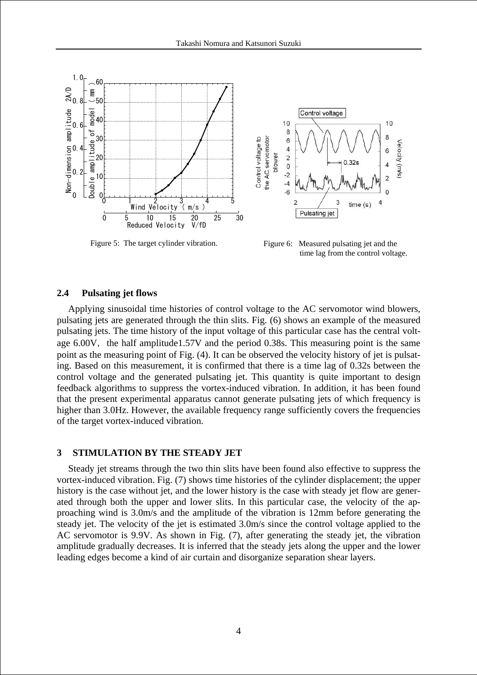

Figure 5: The target cylinder vibration.

Figure 6: Measured pulsating jet and the time lag from the control voltage.

#### **2.4 Pulsating jet flows**

Applying sinusoidal time histories of control voltage to the AC servomotor wind blowers, pulsating jets are generated through the thin slits. Fig. (6) shows an example of the measured pulsating jets. The time history of the input voltage of this particular case has the central voltage  $6.00V$ , the half amplitude1.57V and the period 0.38s. This measuring point is the same point as the measuring point of Fig. (4). It can be observed the velocity history of jet is pulsating. Based on this measurement, it is confirmed that there is a time lag of 0.32s between the control voltage and the generated pulsating jet. This quantity is quite important to design feedback algorithms to suppress the vortex-induced vibration. In addition, it has been found that the present experimental apparatus cannot generate pulsating jets of which frequency is higher than 3.0Hz. However, the available frequency range sufficiently covers the frequencies of the target vortex-induced vibration.

### **3 STIMULATION BY THE STEADY JET**

Steady jet streams through the two thin slits have been found also effective to suppress the vortex-induced vibration. Fig. (7) shows time histories of the cylinder displacement; the upper history is the case without jet, and the lower history is the case with steady jet flow are generated through both the upper and lower slits. In this particular case, the velocity of the approaching wind is 3.0m/s and the amplitude of the vibration is 12mm before generating the steady jet. The velocity of the jet is estimated 3.0m/s since the control voltage applied to the AC servomotor is 9.9V. As shown in Fig. (7), after generating the steady jet, the vibration amplitude gradually decreases. It is inferred that the steady jets along the upper and the lower leading edges become a kind of air curtain and disorganize separation shear layers.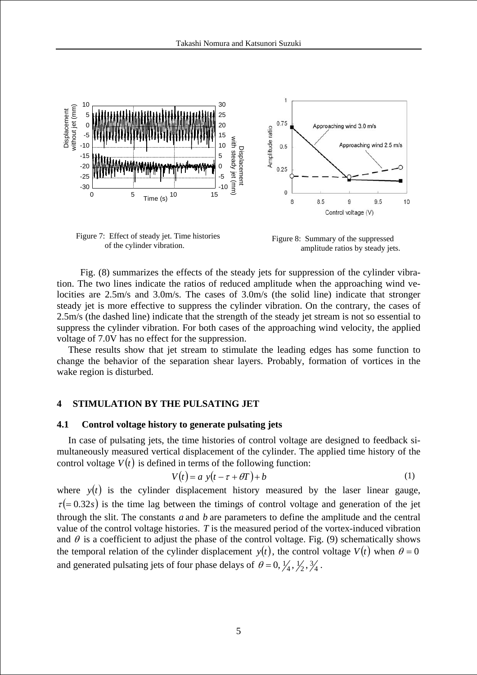

of the cylinder vibration.

Figure 8: Summary of the suppressed amplitude ratios by steady jets.

 Fig. (8) summarizes the effects of the steady jets for suppression of the cylinder vibration. The two lines indicate the ratios of reduced amplitude when the approaching wind velocities are 2.5m/s and 3.0m/s. The cases of 3.0m/s (the solid line) indicate that stronger steady jet is more effective to suppress the cylinder vibration. On the contrary, the cases of 2.5m/s (the dashed line) indicate that the strength of the steady jet stream is not so essential to suppress the cylinder vibration. For both cases of the approaching wind velocity, the applied voltage of 7.0V has no effect for the suppression.

These results show that jet stream to stimulate the leading edges has some function to change the behavior of the separation shear layers. Probably, formation of vortices in the wake region is disturbed.

### **4 STIMULATION BY THE PULSATING JET**

### **4.1 Control voltage history to generate pulsating jets**

In case of pulsating jets, the time histories of control voltage are designed to feedback simultaneously measured vertical displacement of the cylinder. The applied time history of the control voltage  $V(t)$  is defined in terms of the following function:

$$
V(t) = a y(t - \tau + \theta T) + b
$$
 (1)

where  $y(t)$  is the cylinder displacement history measured by the laser linear gauge,  $\tau (= 0.32s)$  is the time lag between the timings of control voltage and generation of the jet through the slit. The constants *a* and *b* are parameters to define the amplitude and the central value of the control voltage histories. *T* is the measured period of the vortex-induced vibration and  $\theta$  is a coefficient to adjust the phase of the control voltage. Fig. (9) schematically shows the temporal relation of the cylinder displacement  $y(t)$ , the control voltage  $V(t)$  when  $\theta = 0$ and generated pulsating jets of four phase delays of  $\theta = 0, \frac{1}{4}, \frac{1}{2}, \frac{3}{4}$ .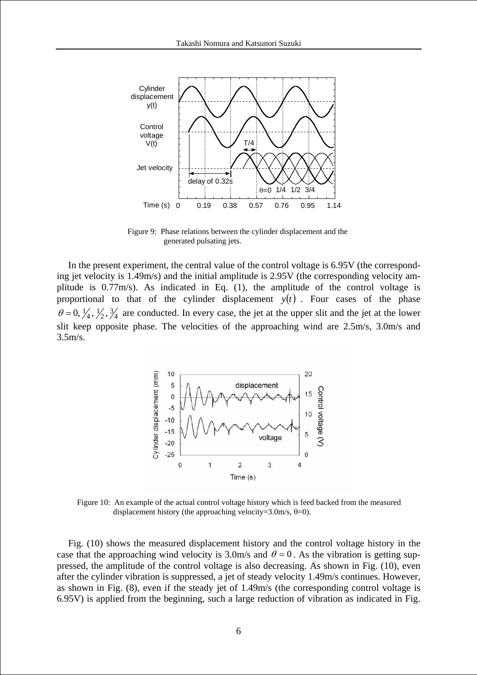

Figure 9: Phase relations between the cylinder displacement and the generated pulsating jets.

In the present experiment, the central value of the control voltage is 6.95V (the corresponding jet velocity is 1.49m/s) and the initial amplitude is 2.95V (the corresponding velocity amplitude is 0.77m/s). As indicated in Eq. (1), the amplitude of the control voltage is proportional to that of the cylinder displacement  $y(t)$ . Four cases of the phase  $\theta = 0, \frac{1}{4}, \frac{1}{2}, \frac{3}{4}$  are conducted. In every case, the jet at the upper slit and the jet at the lower slit keep opposite phase. The velocities of the approaching wind are 2.5m/s, 3.0m/s and 3.5m/s.



Figure 10: An example of the actual control voltage history which is feed backed from the measured displacement history (the approaching velocity=3.0m/s,  $\theta$ =0).

Fig. (10) shows the measured displacement history and the control voltage history in the case that the approaching wind velocity is 3.0m/s and  $\theta = 0$ . As the vibration is getting suppressed, the amplitude of the control voltage is also decreasing. As shown in Fig. (10), even after the cylinder vibration is suppressed, a jet of steady velocity 1.49m/s continues. However, as shown in Fig. (8), even if the steady jet of 1.49m/s (the corresponding control voltage is 6.95V) is applied from the beginning, such a large reduction of vibration as indicated in Fig.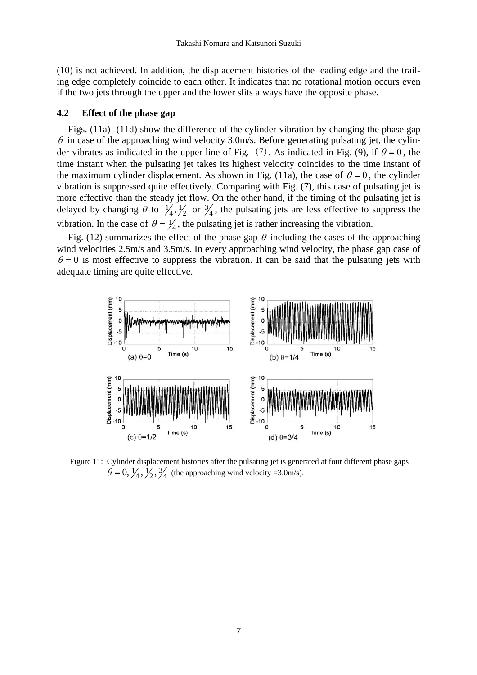(10) is not achieved. In addition, the displacement histories of the leading edge and the trailing edge completely coincide to each other. It indicates that no rotational motion occurs even if the two jets through the upper and the lower slits always have the opposite phase.

### **4.2 Effect of the phase gap**

Figs. (11a) -(11d) show the difference of the cylinder vibration by changing the phase gap  $\theta$  in case of the approaching wind velocity 3.0m/s. Before generating pulsating jet, the cylinder vibrates as indicated in the upper line of Fig. (7). As indicated in Fig. (9), if  $\theta = 0$ , the time instant when the pulsating jet takes its highest velocity coincides to the time instant of the maximum cylinder displacement. As shown in Fig. (11a), the case of  $\theta = 0$ , the cylinder vibration is suppressed quite effectively. Comparing with Fig. (7), this case of pulsating jet is more effective than the steady jet flow. On the other hand, if the timing of the pulsating jet is delayed by changing  $\theta$  to  $\frac{1}{4}$ ,  $\frac{1}{2}$  or  $\frac{3}{4}$ , the pulsating jets are less effective to suppress the vibration. In the case of  $\theta = \frac{1}{4}$ , the pulsating jet is rather increasing the vibration.

Fig. (12) summarizes the effect of the phase gap  $\theta$  including the cases of the approaching wind velocities 2.5m/s and 3.5m/s. In every approaching wind velocity, the phase gap case of  $\theta = 0$  is most effective to suppress the vibration. It can be said that the pulsating jets with adequate timing are quite effective.



Figure 11: Cylinder displacement histories after the pulsating jet is generated at four different phase gaps  $\theta = 0, \frac{1}{4}, \frac{1}{2}, \frac{3}{4}$  (the approaching wind velocity =3.0m/s).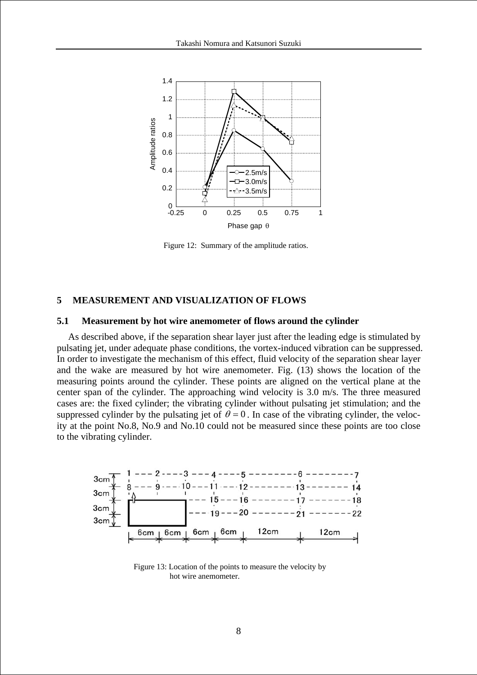

Figure 12: Summary of the amplitude ratios.

### **5 MEASUREMENT AND VISUALIZATION OF FLOWS**

#### **5.1 Measurement by hot wire anemometer of flows around the cylinder**

As described above, if the separation shear layer just after the leading edge is stimulated by pulsating jet, under adequate phase conditions, the vortex-induced vibration can be suppressed. In order to investigate the mechanism of this effect, fluid velocity of the separation shear layer and the wake are measured by hot wire anemometer. Fig. (13) shows the location of the measuring points around the cylinder. These points are aligned on the vertical plane at the center span of the cylinder. The approaching wind velocity is 3.0 m/s. The three measured cases are: the fixed cylinder; the vibrating cylinder without pulsating jet stimulation; and the suppressed cylinder by the pulsating jet of  $\theta = 0$ . In case of the vibrating cylinder, the velocity at the point No.8, No.9 and No.10 could not be measured since these points are too close to the vibrating cylinder.



Figure 13: Location of the points to measure the velocity by hot wire anemometer.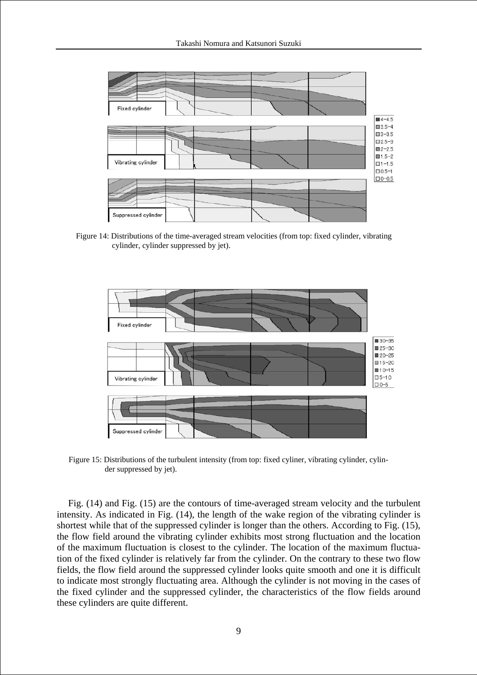

Figure 14: Distributions of the time-averaged stream velocities (from top: fixed cylinder, vibrating cylinder, cylinder suppressed by jet).



Figure 15: Distributions of the turbulent intensity (from top: fixed cyliner, vibrating cylinder, cylinder suppressed by jet).

Fig. (14) and Fig. (15) are the contours of time-averaged stream velocity and the turbulent intensity. As indicated in Fig. (14), the length of the wake region of the vibrating cylinder is shortest while that of the suppressed cylinder is longer than the others. According to Fig. (15), the flow field around the vibrating cylinder exhibits most strong fluctuation and the location of the maximum fluctuation is closest to the cylinder. The location of the maximum fluctuation of the fixed cylinder is relatively far from the cylinder. On the contrary to these two flow fields, the flow field around the suppressed cylinder looks quite smooth and one it is difficult to indicate most strongly fluctuating area. Although the cylinder is not moving in the cases of the fixed cylinder and the suppressed cylinder, the characteristics of the flow fields around these cylinders are quite different.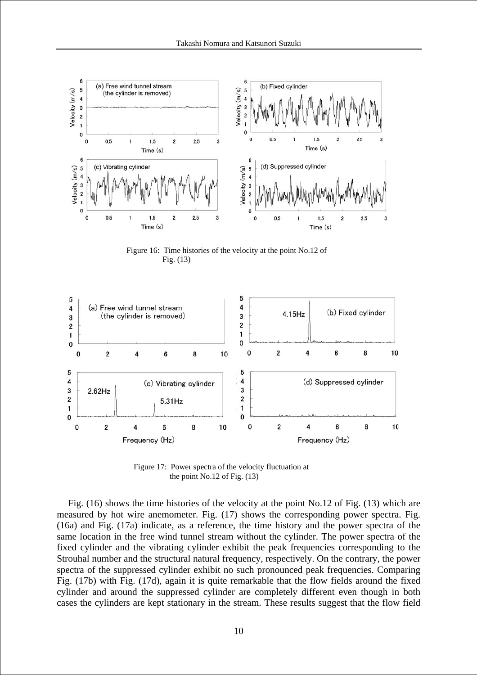

Figure 16: Time histories of the velocity at the point No.12 of Fig. (13)



Figure 17: Power spectra of the velocity fluctuation at the point No.12 of Fig. (13)

Fig. (16) shows the time histories of the velocity at the point No.12 of Fig. (13) which are measured by hot wire anemometer. Fig. (17) shows the corresponding power spectra. Fig. (16a) and Fig. (17a) indicate, as a reference, the time history and the power spectra of the same location in the free wind tunnel stream without the cylinder. The power spectra of the fixed cylinder and the vibrating cylinder exhibit the peak frequencies corresponding to the Strouhal number and the structural natural frequency, respectively. On the contrary, the power spectra of the suppressed cylinder exhibit no such pronounced peak frequencies. Comparing Fig. (17b) with Fig. (17d), again it is quite remarkable that the flow fields around the fixed cylinder and around the suppressed cylinder are completely different even though in both cases the cylinders are kept stationary in the stream. These results suggest that the flow field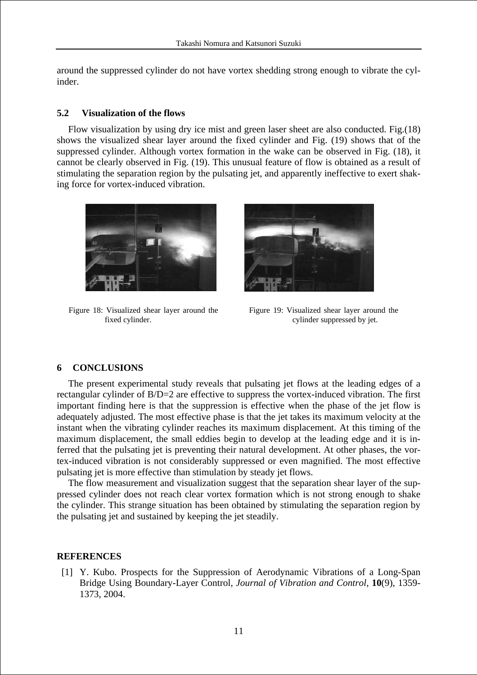around the suppressed cylinder do not have vortex shedding strong enough to vibrate the cylinder.

### **5.2 Visualization of the flows**

Flow visualization by using dry ice mist and green laser sheet are also conducted. Fig.(18) shows the visualized shear layer around the fixed cylinder and Fig. (19) shows that of the suppressed cylinder. Although vortex formation in the wake can be observed in Fig. (18), it cannot be clearly observed in Fig. (19). This unusual feature of flow is obtained as a result of stimulating the separation region by the pulsating jet, and apparently ineffective to exert shaking force for vortex-induced vibration.



Figure 18: Visualized shear layer around the fixed cylinder.



Figure 19: Visualized shear layer around the cylinder suppressed by jet.

## **6 CONCLUSIONS**

The present experimental study reveals that pulsating jet flows at the leading edges of a rectangular cylinder of B/D=2 are effective to suppress the vortex-induced vibration. The first important finding here is that the suppression is effective when the phase of the jet flow is adequately adjusted. The most effective phase is that the jet takes its maximum velocity at the instant when the vibrating cylinder reaches its maximum displacement. At this timing of the maximum displacement, the small eddies begin to develop at the leading edge and it is inferred that the pulsating jet is preventing their natural development. At other phases, the vortex-induced vibration is not considerably suppressed or even magnified. The most effective pulsating jet is more effective than stimulation by steady jet flows.

The flow measurement and visualization suggest that the separation shear layer of the suppressed cylinder does not reach clear vortex formation which is not strong enough to shake the cylinder. This strange situation has been obtained by stimulating the separation region by the pulsating jet and sustained by keeping the jet steadily.

### **REFERENCES**

[1] Y. Kubo. Prospects for the Suppression of Aerodynamic Vibrations of a Long-Span Bridge Using Boundary-Layer Control, *Journal of Vibration and Control*, **10**(9), 1359- 1373, 2004.